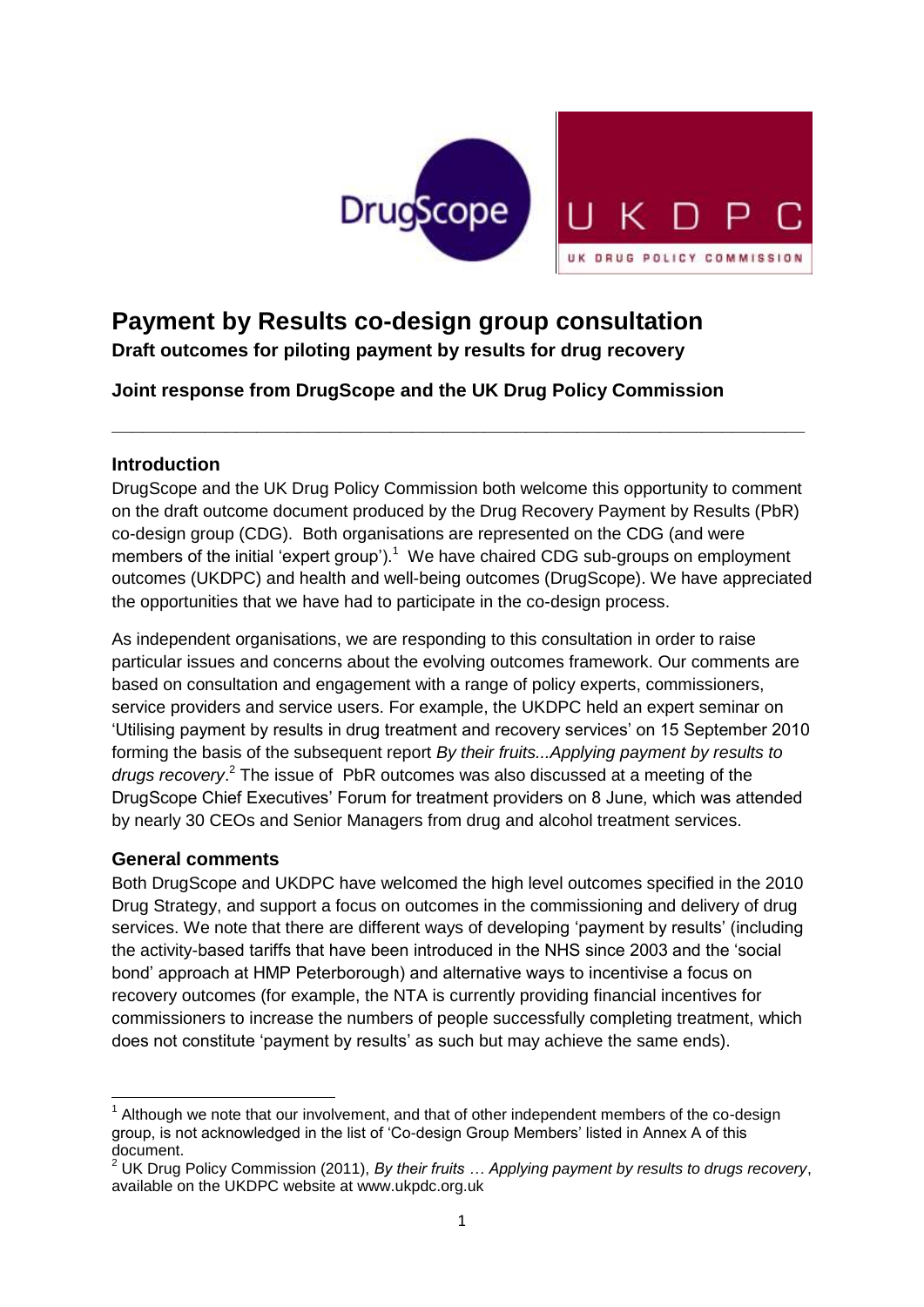

# **Payment by Results co-design group consultation**

**Draft outcomes for piloting payment by results for drug recovery**

**Joint response from DrugScope and the UK Drug Policy Commission**

# **Introduction**

DrugScope and the UK Drug Policy Commission both welcome this opportunity to comment on the draft outcome document produced by the Drug Recovery Payment by Results (PbR) co-design group (CDG). Both organisations are represented on the CDG (and were members of the initial 'expert group').<sup>1</sup> We have chaired CDG sub-groups on employment outcomes (UKDPC) and health and well-being outcomes (DrugScope). We have appreciated the opportunities that we have had to participate in the co-design process.

**\_\_\_\_\_\_\_\_\_\_\_\_\_\_\_\_\_\_\_\_\_\_\_\_\_\_\_\_\_\_\_\_\_\_\_\_\_\_\_\_\_\_\_\_\_\_\_\_\_\_\_\_\_\_\_\_\_\_\_\_\_\_\_\_\_\_\_**

As independent organisations, we are responding to this consultation in order to raise particular issues and concerns about the evolving outcomes framework. Our comments are based on consultation and engagement with a range of policy experts, commissioners, service providers and service users. For example, the UKDPC held an expert seminar on "Utilising payment by results in drug treatment and recovery services" on 15 September 2010 forming the basis of the subsequent report *By their fruits...Applying payment by results to drugs recovery*. <sup>2</sup> The issue of PbR outcomes was also discussed at a meeting of the DrugScope Chief Executives" Forum for treatment providers on 8 June, which was attended by nearly 30 CEOs and Senior Managers from drug and alcohol treatment services.

# **General comments**

Both DrugScope and UKDPC have welcomed the high level outcomes specified in the 2010 Drug Strategy, and support a focus on outcomes in the commissioning and delivery of drug services. We note that there are different ways of developing "payment by results" (including the activity-based tariffs that have been introduced in the NHS since 2003 and the "social bond" approach at HMP Peterborough) and alternative ways to incentivise a focus on recovery outcomes (for example, the NTA is currently providing financial incentives for commissioners to increase the numbers of people successfully completing treatment, which does not constitute 'payment by results' as such but may achieve the same ends).

**<sup>.</sup>** 1 Although we note that our involvement, and that of other independent members of the co-design group, is not acknowledged in the list of "Co-design Group Members" listed in Annex A of this document.

<sup>2</sup> UK Drug Policy Commission (2011), *By their fruits … Applying payment by results to drugs recovery*, available on the UKDPC website at www.ukpdc.org.uk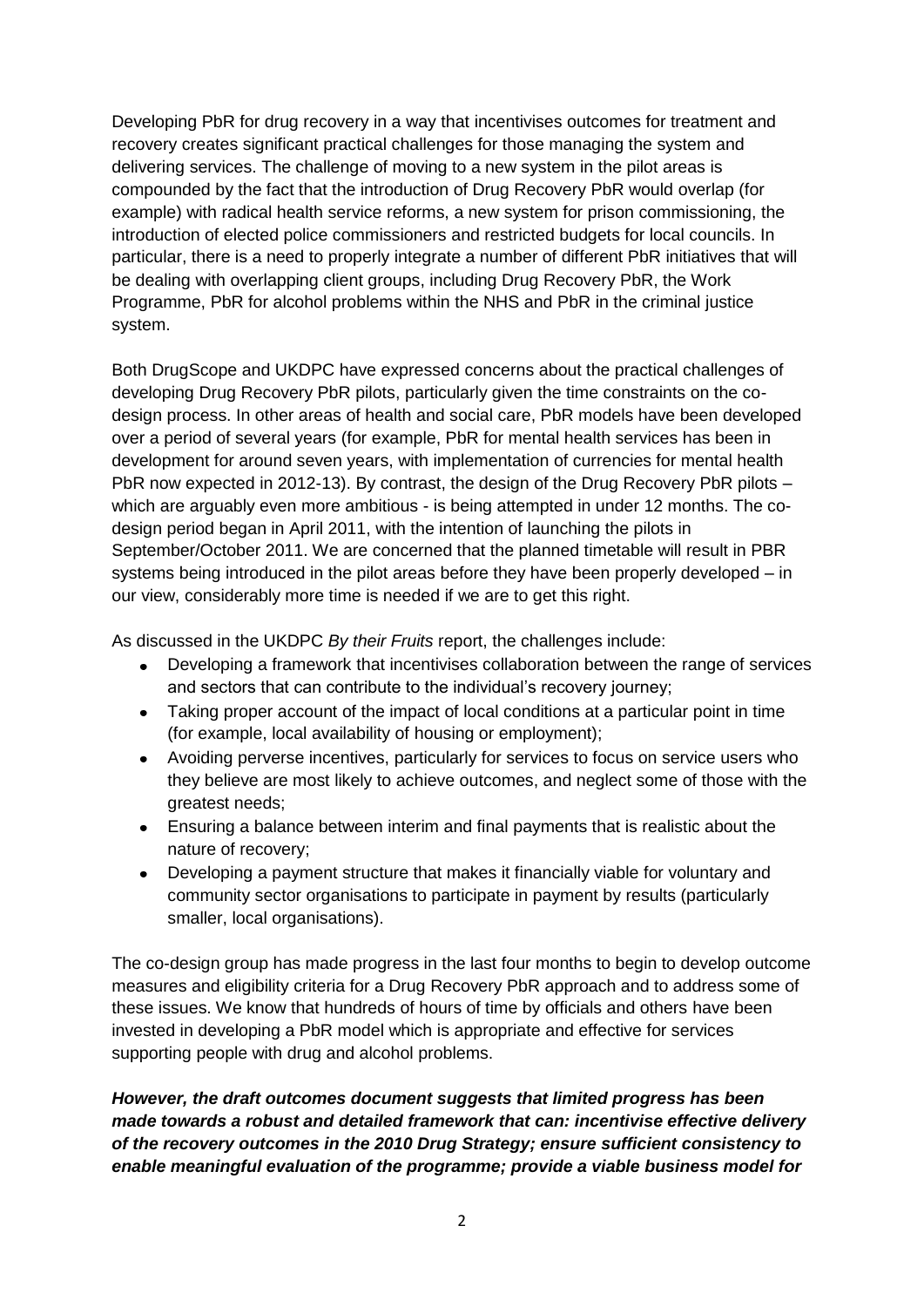Developing PbR for drug recovery in a way that incentivises outcomes for treatment and recovery creates significant practical challenges for those managing the system and delivering services. The challenge of moving to a new system in the pilot areas is compounded by the fact that the introduction of Drug Recovery PbR would overlap (for example) with radical health service reforms, a new system for prison commissioning, the introduction of elected police commissioners and restricted budgets for local councils. In particular, there is a need to properly integrate a number of different PbR initiatives that will be dealing with overlapping client groups, including Drug Recovery PbR, the Work Programme, PbR for alcohol problems within the NHS and PbR in the criminal justice system.

Both DrugScope and UKDPC have expressed concerns about the practical challenges of developing Drug Recovery PbR pilots, particularly given the time constraints on the codesign process. In other areas of health and social care, PbR models have been developed over a period of several years (for example, PbR for mental health services has been in development for around seven years, with implementation of currencies for mental health PbR now expected in 2012-13). By contrast, the design of the Drug Recovery PbR pilots – which are arguably even more ambitious - is being attempted in under 12 months. The codesign period began in April 2011, with the intention of launching the pilots in September/October 2011. We are concerned that the planned timetable will result in PBR systems being introduced in the pilot areas before they have been properly developed – in our view, considerably more time is needed if we are to get this right.

As discussed in the UKDPC *By their Fruits* report, the challenges include:

- Developing a framework that incentivises collaboration between the range of services and sectors that can contribute to the individual's recovery journey;
- Taking proper account of the impact of local conditions at a particular point in time (for example, local availability of housing or employment);
- Avoiding perverse incentives, particularly for services to focus on service users who  $\bullet$ they believe are most likely to achieve outcomes, and neglect some of those with the greatest needs;
- Ensuring a balance between interim and final payments that is realistic about the nature of recovery;
- Developing a payment structure that makes it financially viable for voluntary and  $\bullet$ community sector organisations to participate in payment by results (particularly smaller, local organisations).

The co-design group has made progress in the last four months to begin to develop outcome measures and eligibility criteria for a Drug Recovery PbR approach and to address some of these issues. We know that hundreds of hours of time by officials and others have been invested in developing a PbR model which is appropriate and effective for services supporting people with drug and alcohol problems.

*However, the draft outcomes document suggests that limited progress has been made towards a robust and detailed framework that can: incentivise effective delivery of the recovery outcomes in the 2010 Drug Strategy; ensure sufficient consistency to enable meaningful evaluation of the programme; provide a viable business model for*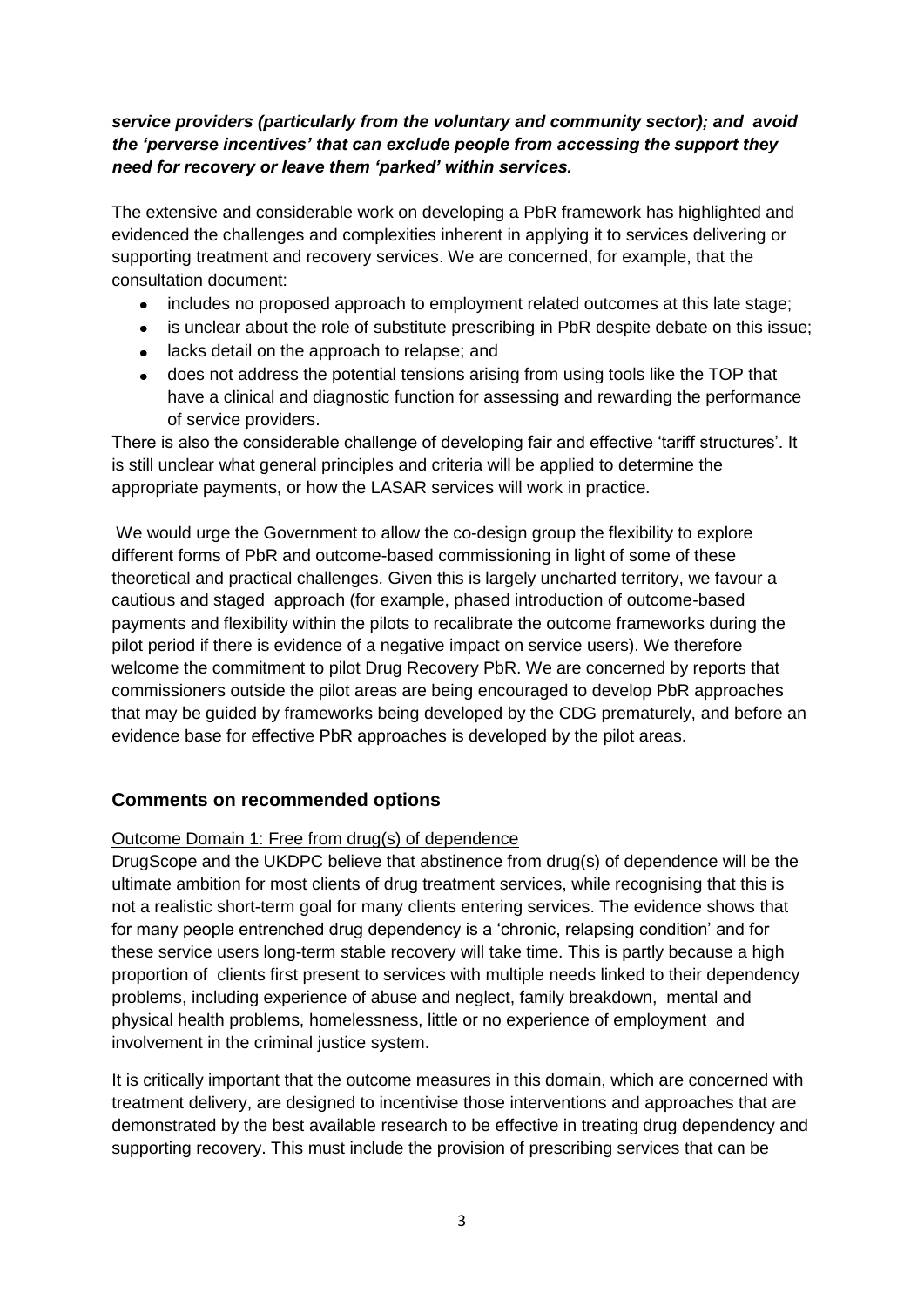# *service providers (particularly from the voluntary and community sector); and avoid the 'perverse incentives' that can exclude people from accessing the support they need for recovery or leave them 'parked' within services.*

The extensive and considerable work on developing a PbR framework has highlighted and evidenced the challenges and complexities inherent in applying it to services delivering or supporting treatment and recovery services. We are concerned, for example, that the consultation document:

- includes no proposed approach to employment related outcomes at this late stage;
- is unclear about the role of substitute prescribing in PbR despite debate on this issue;  $\bullet$
- lacks detail on the approach to relapse; and
- does not address the potential tensions arising from using tools like the TOP that have a clinical and diagnostic function for assessing and rewarding the performance of service providers.

There is also the considerable challenge of developing fair and effective "tariff structures". It is still unclear what general principles and criteria will be applied to determine the appropriate payments, or how the LASAR services will work in practice.

We would urge the Government to allow the co-design group the flexibility to explore different forms of PbR and outcome-based commissioning in light of some of these theoretical and practical challenges. Given this is largely uncharted territory, we favour a cautious and staged approach (for example, phased introduction of outcome-based payments and flexibility within the pilots to recalibrate the outcome frameworks during the pilot period if there is evidence of a negative impact on service users). We therefore welcome the commitment to pilot Drug Recovery PbR. We are concerned by reports that commissioners outside the pilot areas are being encouraged to develop PbR approaches that may be guided by frameworks being developed by the CDG prematurely, and before an evidence base for effective PbR approaches is developed by the pilot areas.

# **Comments on recommended options**

#### Outcome Domain 1: Free from drug(s) of dependence

DrugScope and the UKDPC believe that abstinence from drug(s) of dependence will be the ultimate ambition for most clients of drug treatment services, while recognising that this is not a realistic short-term goal for many clients entering services. The evidence shows that for many people entrenched drug dependency is a "chronic, relapsing condition" and for these service users long-term stable recovery will take time. This is partly because a high proportion of clients first present to services with multiple needs linked to their dependency problems, including experience of abuse and neglect, family breakdown, mental and physical health problems, homelessness, little or no experience of employment and involvement in the criminal justice system.

It is critically important that the outcome measures in this domain, which are concerned with treatment delivery, are designed to incentivise those interventions and approaches that are demonstrated by the best available research to be effective in treating drug dependency and supporting recovery. This must include the provision of prescribing services that can be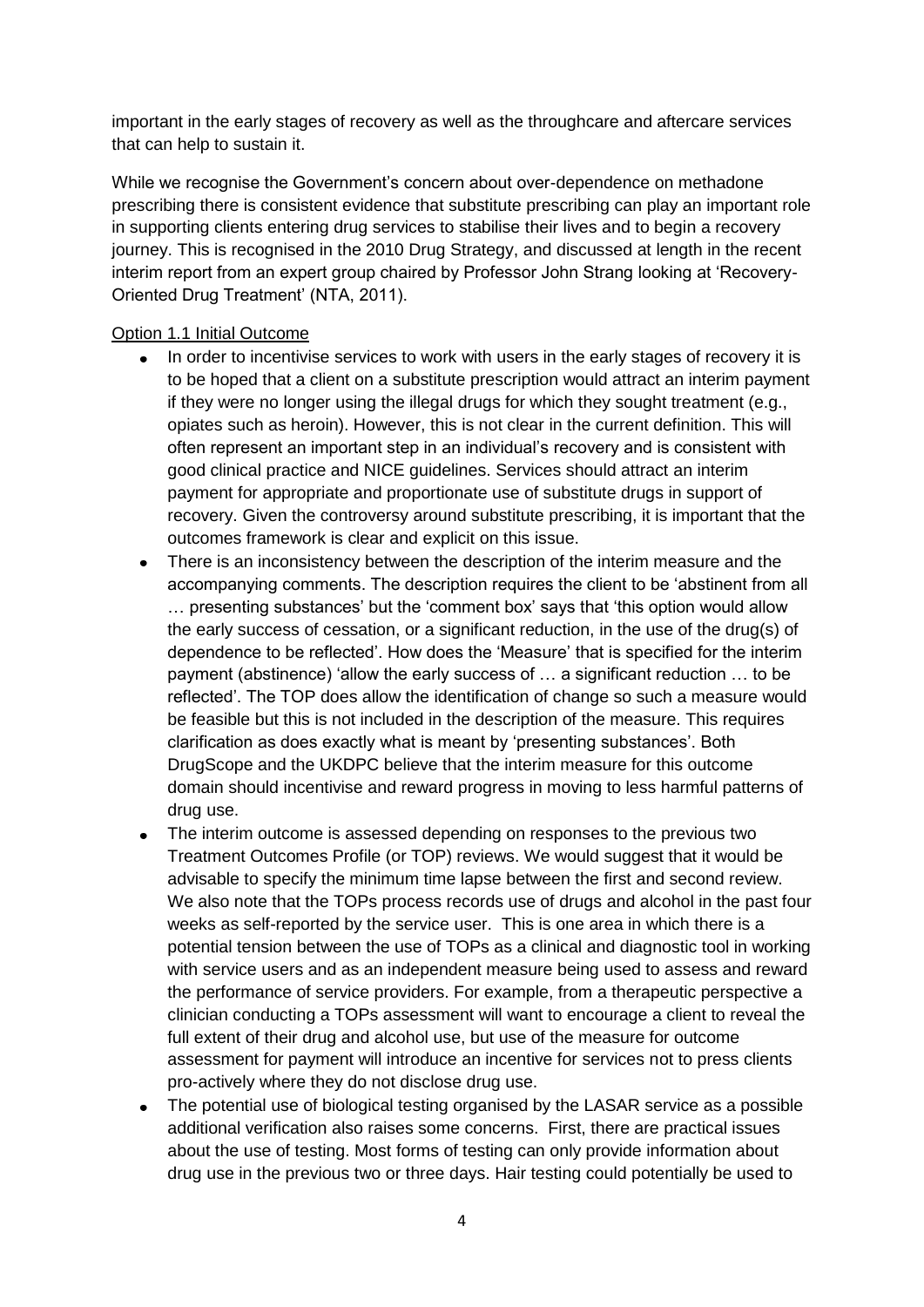important in the early stages of recovery as well as the throughcare and aftercare services that can help to sustain it.

While we recognise the Government"s concern about over-dependence on methadone prescribing there is consistent evidence that substitute prescribing can play an important role in supporting clients entering drug services to stabilise their lives and to begin a recovery journey. This is recognised in the 2010 Drug Strategy, and discussed at length in the recent interim report from an expert group chaired by Professor John Strang looking at "Recovery-Oriented Drug Treatment" (NTA, 2011).

## Option 1.1 Initial Outcome

- In order to incentivise services to work with users in the early stages of recovery it is  $\bullet$ to be hoped that a client on a substitute prescription would attract an interim payment if they were no longer using the illegal drugs for which they sought treatment (e.g., opiates such as heroin). However, this is not clear in the current definition. This will often represent an important step in an individual"s recovery and is consistent with good clinical practice and NICE guidelines. Services should attract an interim payment for appropriate and proportionate use of substitute drugs in support of recovery. Given the controversy around substitute prescribing, it is important that the outcomes framework is clear and explicit on this issue.
- There is an inconsistency between the description of the interim measure and the accompanying comments. The description requires the client to be "abstinent from all … presenting substances" but the "comment box" says that "this option would allow the early success of cessation, or a significant reduction, in the use of the drug(s) of dependence to be reflected". How does the "Measure" that is specified for the interim payment (abstinence) "allow the early success of … a significant reduction … to be reflected". The TOP does allow the identification of change so such a measure would be feasible but this is not included in the description of the measure. This requires clarification as does exactly what is meant by "presenting substances". Both DrugScope and the UKDPC believe that the interim measure for this outcome domain should incentivise and reward progress in moving to less harmful patterns of drug use.
- The interim outcome is assessed depending on responses to the previous two Treatment Outcomes Profile (or TOP) reviews. We would suggest that it would be advisable to specify the minimum time lapse between the first and second review. We also note that the TOPs process records use of drugs and alcohol in the past four weeks as self-reported by the service user. This is one area in which there is a potential tension between the use of TOPs as a clinical and diagnostic tool in working with service users and as an independent measure being used to assess and reward the performance of service providers. For example, from a therapeutic perspective a clinician conducting a TOPs assessment will want to encourage a client to reveal the full extent of their drug and alcohol use, but use of the measure for outcome assessment for payment will introduce an incentive for services not to press clients pro-actively where they do not disclose drug use.
- The potential use of biological testing organised by the LASAR service as a possible additional verification also raises some concerns. First, there are practical issues about the use of testing. Most forms of testing can only provide information about drug use in the previous two or three days. Hair testing could potentially be used to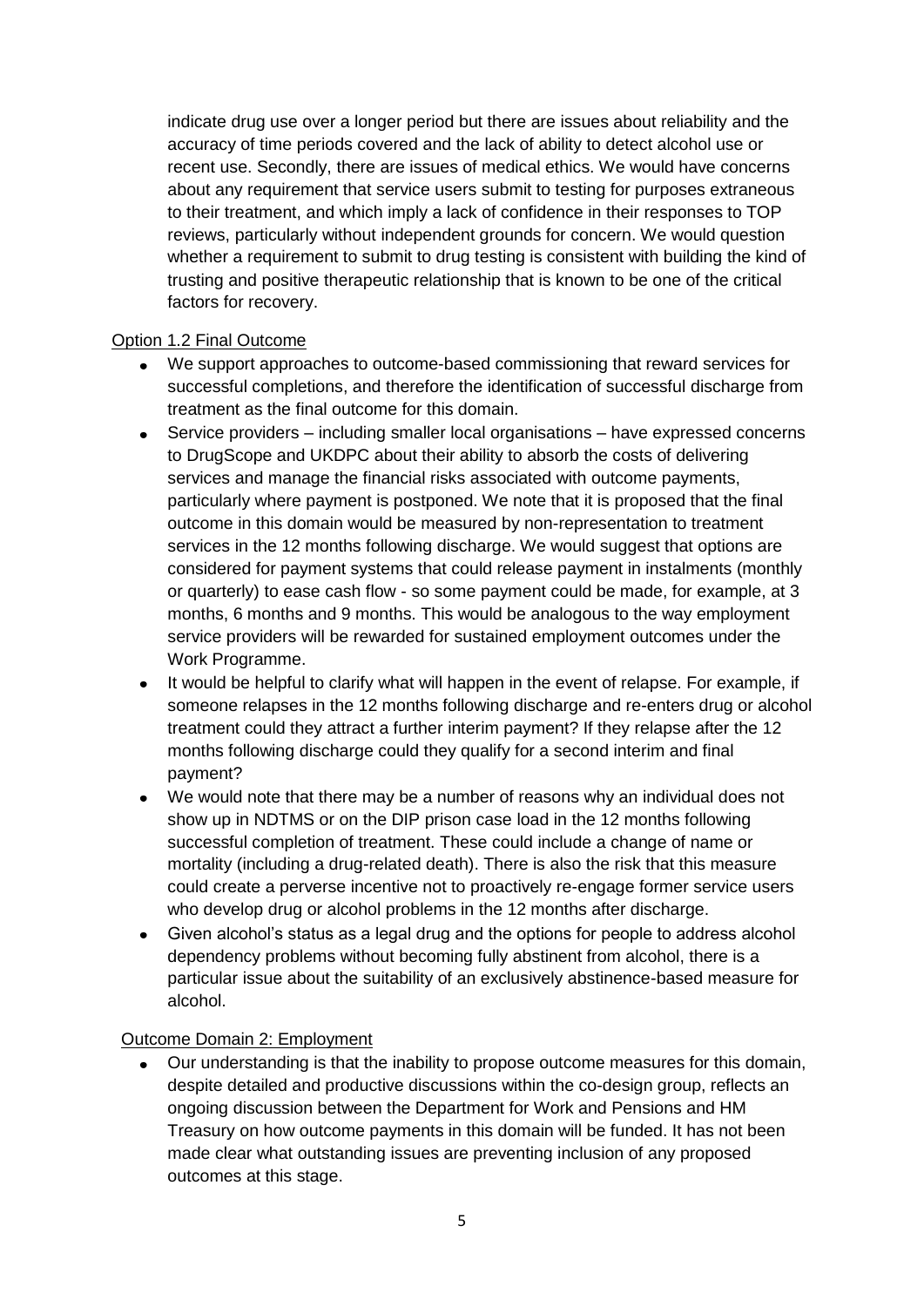indicate drug use over a longer period but there are issues about reliability and the accuracy of time periods covered and the lack of ability to detect alcohol use or recent use. Secondly, there are issues of medical ethics. We would have concerns about any requirement that service users submit to testing for purposes extraneous to their treatment, and which imply a lack of confidence in their responses to TOP reviews, particularly without independent grounds for concern. We would question whether a requirement to submit to drug testing is consistent with building the kind of trusting and positive therapeutic relationship that is known to be one of the critical factors for recovery.

## Option 1.2 Final Outcome

- We support approaches to outcome-based commissioning that reward services for successful completions, and therefore the identification of successful discharge from treatment as the final outcome for this domain.
- $\bullet$ Service providers – including smaller local organisations – have expressed concerns to DrugScope and UKDPC about their ability to absorb the costs of delivering services and manage the financial risks associated with outcome payments, particularly where payment is postponed. We note that it is proposed that the final outcome in this domain would be measured by non-representation to treatment services in the 12 months following discharge. We would suggest that options are considered for payment systems that could release payment in instalments (monthly or quarterly) to ease cash flow - so some payment could be made, for example, at 3 months, 6 months and 9 months. This would be analogous to the way employment service providers will be rewarded for sustained employment outcomes under the Work Programme.
- It would be helpful to clarify what will happen in the event of relapse. For example, if someone relapses in the 12 months following discharge and re-enters drug or alcohol treatment could they attract a further interim payment? If they relapse after the 12 months following discharge could they qualify for a second interim and final payment?
- We would note that there may be a number of reasons why an individual does not show up in NDTMS or on the DIP prison case load in the 12 months following successful completion of treatment. These could include a change of name or mortality (including a drug-related death). There is also the risk that this measure could create a perverse incentive not to proactively re-engage former service users who develop drug or alcohol problems in the 12 months after discharge.
- Given alcohol"s status as a legal drug and the options for people to address alcohol dependency problems without becoming fully abstinent from alcohol, there is a particular issue about the suitability of an exclusively abstinence-based measure for alcohol.

#### Outcome Domain 2: Employment

Our understanding is that the inability to propose outcome measures for this domain, despite detailed and productive discussions within the co-design group, reflects an ongoing discussion between the Department for Work and Pensions and HM Treasury on how outcome payments in this domain will be funded. It has not been made clear what outstanding issues are preventing inclusion of any proposed outcomes at this stage.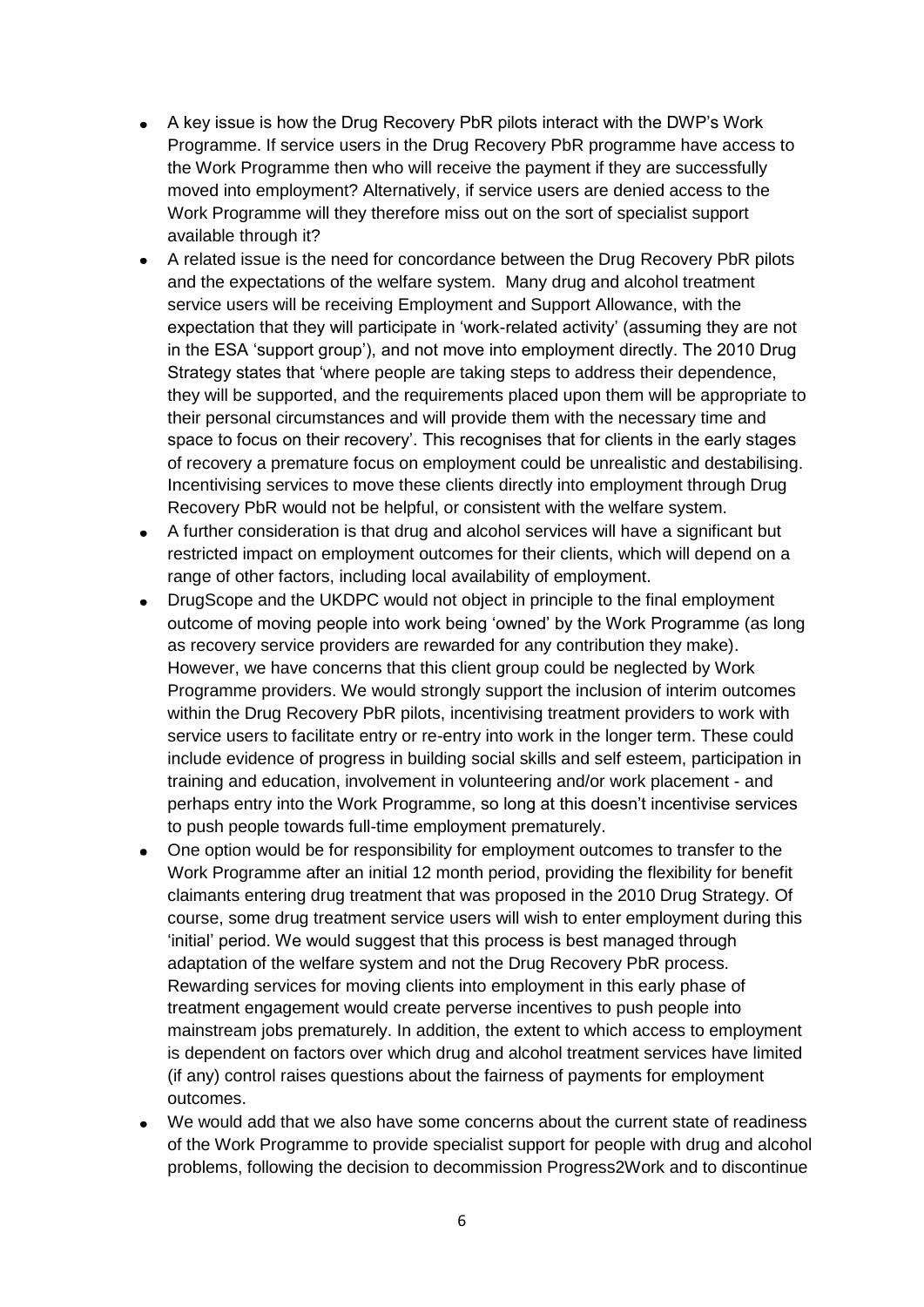- A key issue is how the Drug Recovery PbR pilots interact with the DWP"s Work Programme. If service users in the Drug Recovery PbR programme have access to the Work Programme then who will receive the payment if they are successfully moved into employment? Alternatively, if service users are denied access to the Work Programme will they therefore miss out on the sort of specialist support available through it?
- A related issue is the need for concordance between the Drug Recovery PbR pilots and the expectations of the welfare system. Many drug and alcohol treatment service users will be receiving Employment and Support Allowance, with the expectation that they will participate in "work-related activity" (assuming they are not in the ESA "support group"), and not move into employment directly. The 2010 Drug Strategy states that "where people are taking steps to address their dependence, they will be supported, and the requirements placed upon them will be appropriate to their personal circumstances and will provide them with the necessary time and space to focus on their recovery'. This recognises that for clients in the early stages of recovery a premature focus on employment could be unrealistic and destabilising. Incentivising services to move these clients directly into employment through Drug Recovery PbR would not be helpful, or consistent with the welfare system.
- A further consideration is that drug and alcohol services will have a significant but  $\bullet$ restricted impact on employment outcomes for their clients, which will depend on a range of other factors, including local availability of employment.
- $\bullet$ DrugScope and the UKDPC would not object in principle to the final employment outcome of moving people into work being "owned" by the Work Programme (as long as recovery service providers are rewarded for any contribution they make). However, we have concerns that this client group could be neglected by Work Programme providers. We would strongly support the inclusion of interim outcomes within the Drug Recovery PbR pilots, incentivising treatment providers to work with service users to facilitate entry or re-entry into work in the longer term. These could include evidence of progress in building social skills and self esteem, participation in training and education, involvement in volunteering and/or work placement - and perhaps entry into the Work Programme, so long at this doesn"t incentivise services to push people towards full-time employment prematurely.
- One option would be for responsibility for employment outcomes to transfer to the Work Programme after an initial 12 month period, providing the flexibility for benefit claimants entering drug treatment that was proposed in the 2010 Drug Strategy. Of course, some drug treatment service users will wish to enter employment during this "initial" period. We would suggest that this process is best managed through adaptation of the welfare system and not the Drug Recovery PbR process. Rewarding services for moving clients into employment in this early phase of treatment engagement would create perverse incentives to push people into mainstream jobs prematurely. In addition, the extent to which access to employment is dependent on factors over which drug and alcohol treatment services have limited (if any) control raises questions about the fairness of payments for employment outcomes.
- We would add that we also have some concerns about the current state of readiness of the Work Programme to provide specialist support for people with drug and alcohol problems, following the decision to decommission Progress2Work and to discontinue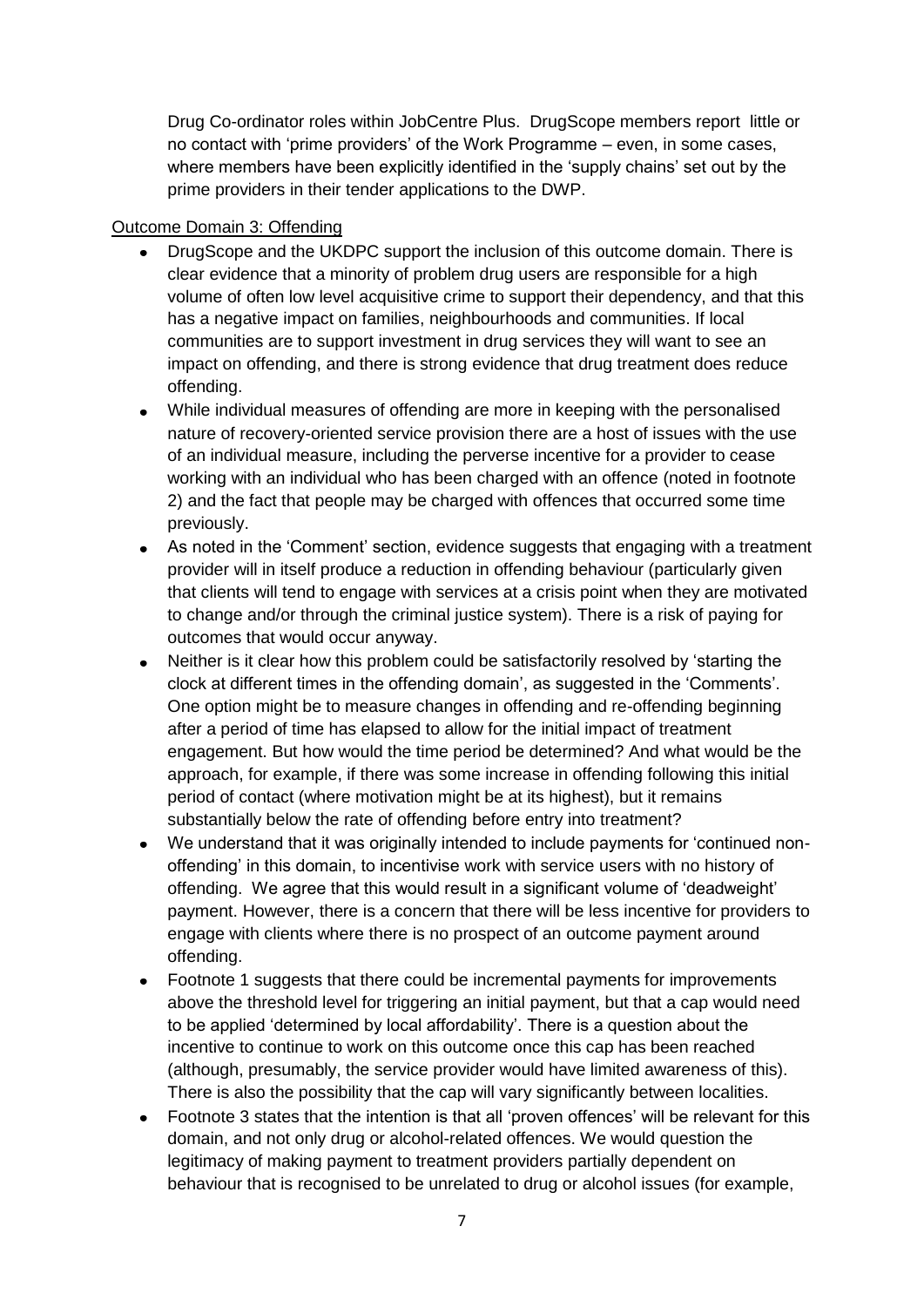Drug Co-ordinator roles within JobCentre Plus. DrugScope members report little or no contact with "prime providers" of the Work Programme – even, in some cases, where members have been explicitly identified in the "supply chains" set out by the prime providers in their tender applications to the DWP.

## Outcome Domain 3: Offending

- DrugScope and the UKDPC support the inclusion of this outcome domain. There is  $\bullet$ clear evidence that a minority of problem drug users are responsible for a high volume of often low level acquisitive crime to support their dependency, and that this has a negative impact on families, neighbourhoods and communities. If local communities are to support investment in drug services they will want to see an impact on offending, and there is strong evidence that drug treatment does reduce offending.
- While individual measures of offending are more in keeping with the personalised nature of recovery-oriented service provision there are a host of issues with the use of an individual measure, including the perverse incentive for a provider to cease working with an individual who has been charged with an offence (noted in footnote 2) and the fact that people may be charged with offences that occurred some time previously.
- As noted in the "Comment" section, evidence suggests that engaging with a treatment provider will in itself produce a reduction in offending behaviour (particularly given that clients will tend to engage with services at a crisis point when they are motivated to change and/or through the criminal justice system). There is a risk of paying for outcomes that would occur anyway.
- Neither is it clear how this problem could be satisfactorily resolved by "starting the clock at different times in the offending domain", as suggested in the "Comments". One option might be to measure changes in offending and re-offending beginning after a period of time has elapsed to allow for the initial impact of treatment engagement. But how would the time period be determined? And what would be the approach, for example, if there was some increase in offending following this initial period of contact (where motivation might be at its highest), but it remains substantially below the rate of offending before entry into treatment?
- We understand that it was originally intended to include payments for "continued nonoffending" in this domain, to incentivise work with service users with no history of offending. We agree that this would result in a significant volume of "deadweight" payment. However, there is a concern that there will be less incentive for providers to engage with clients where there is no prospect of an outcome payment around offending.
- Footnote 1 suggests that there could be incremental payments for improvements  $\bullet$ above the threshold level for triggering an initial payment, but that a cap would need to be applied "determined by local affordability". There is a question about the incentive to continue to work on this outcome once this cap has been reached (although, presumably, the service provider would have limited awareness of this). There is also the possibility that the cap will vary significantly between localities.
- Footnote 3 states that the intention is that all "proven offences" will be relevant for this  $\bullet$ domain, and not only drug or alcohol-related offences. We would question the legitimacy of making payment to treatment providers partially dependent on behaviour that is recognised to be unrelated to drug or alcohol issues (for example,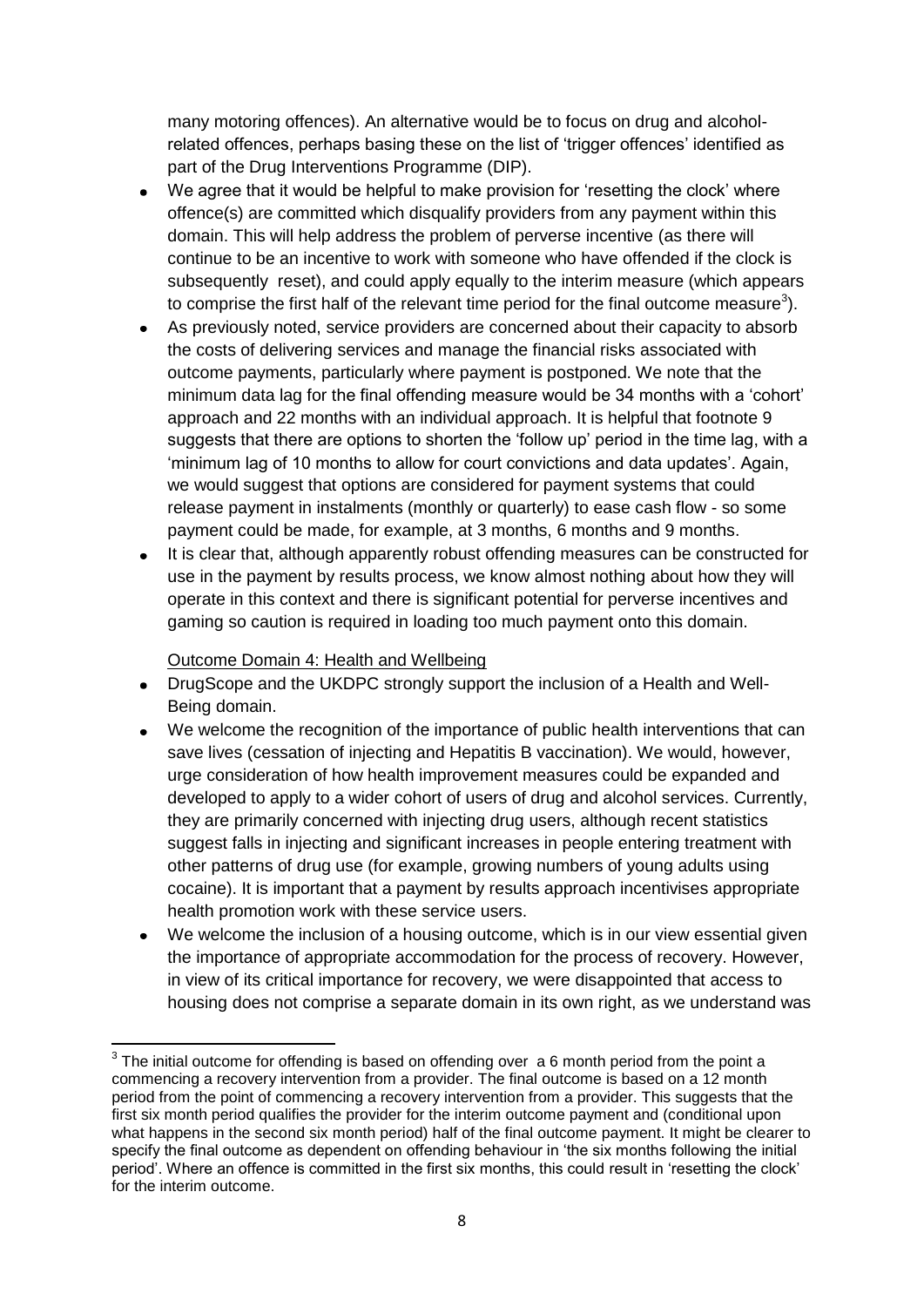many motoring offences). An alternative would be to focus on drug and alcoholrelated offences, perhaps basing these on the list of 'trigger offences' identified as part of the Drug Interventions Programme (DIP).

- We agree that it would be helpful to make provision for 'resetting the clock' where offence(s) are committed which disqualify providers from any payment within this domain. This will help address the problem of perverse incentive (as there will continue to be an incentive to work with someone who have offended if the clock is subsequently reset), and could apply equally to the interim measure (which appears to comprise the first half of the relevant time period for the final outcome measure<sup>3</sup>).
- As previously noted, service providers are concerned about their capacity to absorb the costs of delivering services and manage the financial risks associated with outcome payments, particularly where payment is postponed. We note that the minimum data lag for the final offending measure would be 34 months with a "cohort" approach and 22 months with an individual approach. It is helpful that footnote 9 suggests that there are options to shorten the "follow up" period in the time lag, with a "minimum lag of 10 months to allow for court convictions and data updates". Again, we would suggest that options are considered for payment systems that could release payment in instalments (monthly or quarterly) to ease cash flow - so some payment could be made, for example, at 3 months, 6 months and 9 months.
- It is clear that, although apparently robust offending measures can be constructed for  $\bullet$ use in the payment by results process, we know almost nothing about how they will operate in this context and there is significant potential for perverse incentives and gaming so caution is required in loading too much payment onto this domain.

Outcome Domain 4: Health and Wellbeing

**.** 

- DrugScope and the UKDPC strongly support the inclusion of a Health and Well-Being domain.
- We welcome the recognition of the importance of public health interventions that can save lives (cessation of injecting and Hepatitis B vaccination). We would, however, urge consideration of how health improvement measures could be expanded and developed to apply to a wider cohort of users of drug and alcohol services. Currently, they are primarily concerned with injecting drug users, although recent statistics suggest falls in injecting and significant increases in people entering treatment with other patterns of drug use (for example, growing numbers of young adults using cocaine). It is important that a payment by results approach incentivises appropriate health promotion work with these service users.
- We welcome the inclusion of a housing outcome, which is in our view essential given the importance of appropriate accommodation for the process of recovery. However, in view of its critical importance for recovery, we were disappointed that access to housing does not comprise a separate domain in its own right, as we understand was

 $3$  The initial outcome for offending is based on offending over  $a$  6 month period from the point a commencing a recovery intervention from a provider. The final outcome is based on a 12 month period from the point of commencing a recovery intervention from a provider. This suggests that the first six month period qualifies the provider for the interim outcome payment and (conditional upon what happens in the second six month period) half of the final outcome payment. It might be clearer to specify the final outcome as dependent on offending behaviour in "the six months following the initial period". Where an offence is committed in the first six months, this could result in "resetting the clock" for the interim outcome.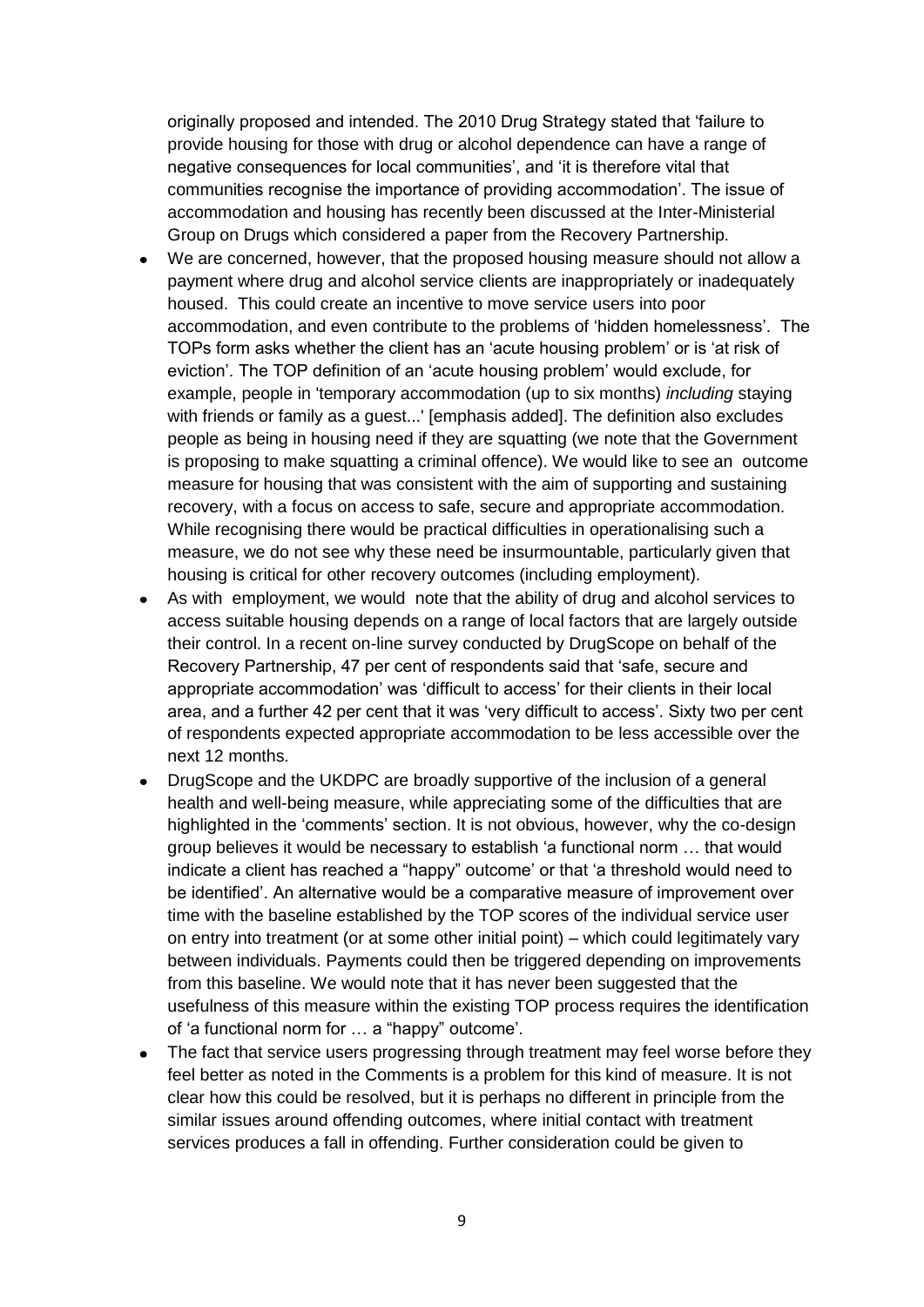originally proposed and intended. The 2010 Drug Strategy stated that "failure to provide housing for those with drug or alcohol dependence can have a range of negative consequences for local communities', and 'it is therefore vital that communities recognise the importance of providing accommodation". The issue of accommodation and housing has recently been discussed at the Inter-Ministerial Group on Drugs which considered a paper from the Recovery Partnership.

- We are concerned, however, that the proposed housing measure should not allow a payment where drug and alcohol service clients are inappropriately or inadequately housed. This could create an incentive to move service users into poor accommodation, and even contribute to the problems of "hidden homelessness". The TOPs form asks whether the client has an "acute housing problem" or is "at risk of eviction". The TOP definition of an "acute housing problem" would exclude, for example, people in 'temporary accommodation (up to six months) *including* staying with friends or family as a guest...' [emphasis added]. The definition also excludes people as being in housing need if they are squatting (we note that the Government is proposing to make squatting a criminal offence). We would like to see an outcome measure for housing that was consistent with the aim of supporting and sustaining recovery, with a focus on access to safe, secure and appropriate accommodation. While recognising there would be practical difficulties in operationalising such a measure, we do not see why these need be insurmountable, particularly given that housing is critical for other recovery outcomes (including employment).
- As with employment, we would note that the ability of drug and alcohol services to  $\bullet$ access suitable housing depends on a range of local factors that are largely outside their control. In a recent on-line survey conducted by DrugScope on behalf of the Recovery Partnership, 47 per cent of respondents said that "safe, secure and appropriate accommodation" was "difficult to access" for their clients in their local area, and a further 42 per cent that it was 'very difficult to access'. Sixty two per cent of respondents expected appropriate accommodation to be less accessible over the next 12 months.
- DrugScope and the UKDPC are broadly supportive of the inclusion of a general health and well-being measure, while appreciating some of the difficulties that are highlighted in the "comments" section. It is not obvious, however, why the co-design group believes it would be necessary to establish "a functional norm … that would indicate a client has reached a "happy" outcome' or that 'a threshold would need to be identified". An alternative would be a comparative measure of improvement over time with the baseline established by the TOP scores of the individual service user on entry into treatment (or at some other initial point) – which could legitimately vary between individuals. Payments could then be triggered depending on improvements from this baseline. We would note that it has never been suggested that the usefulness of this measure within the existing TOP process requires the identification of "a functional norm for … a "happy" outcome".
- The fact that service users progressing through treatment may feel worse before they  $\bullet$ feel better as noted in the Comments is a problem for this kind of measure. It is not clear how this could be resolved, but it is perhaps no different in principle from the similar issues around offending outcomes, where initial contact with treatment services produces a fall in offending. Further consideration could be given to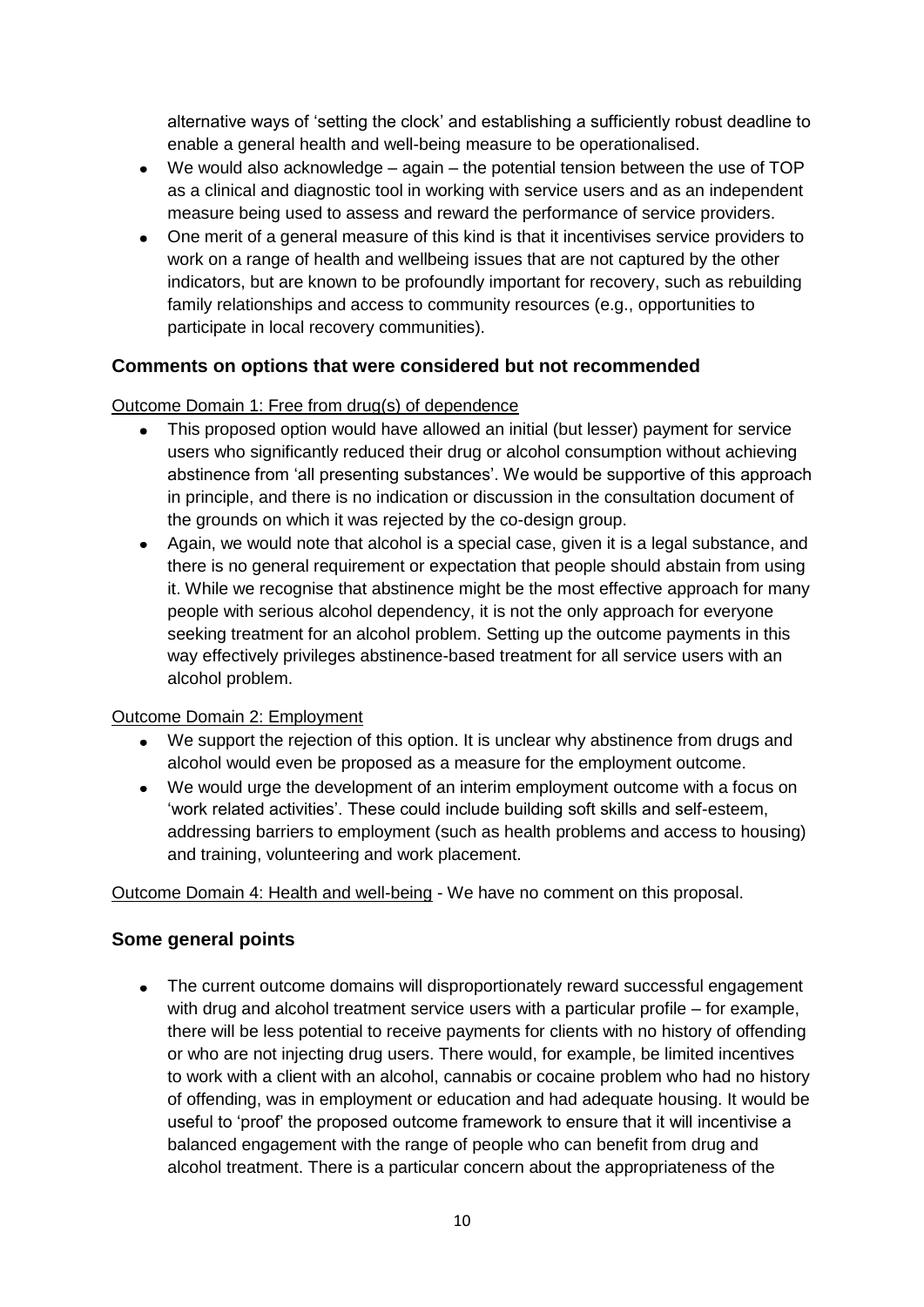alternative ways of "setting the clock" and establishing a sufficiently robust deadline to enable a general health and well-being measure to be operationalised.

- We would also acknowledge again the potential tension between the use of TOP as a clinical and diagnostic tool in working with service users and as an independent measure being used to assess and reward the performance of service providers.
- One merit of a general measure of this kind is that it incentivises service providers to work on a range of health and wellbeing issues that are not captured by the other indicators, but are known to be profoundly important for recovery, such as rebuilding family relationships and access to community resources (e.g., opportunities to participate in local recovery communities).

# **Comments on options that were considered but not recommended**

# Outcome Domain 1: Free from drug(s) of dependence

- This proposed option would have allowed an initial (but lesser) payment for service  $\bullet$ users who significantly reduced their drug or alcohol consumption without achieving abstinence from "all presenting substances". We would be supportive of this approach in principle, and there is no indication or discussion in the consultation document of the grounds on which it was rejected by the co-design group.
- Again, we would note that alcohol is a special case, given it is a legal substance, and there is no general requirement or expectation that people should abstain from using it. While we recognise that abstinence might be the most effective approach for many people with serious alcohol dependency, it is not the only approach for everyone seeking treatment for an alcohol problem. Setting up the outcome payments in this way effectively privileges abstinence-based treatment for all service users with an alcohol problem.

#### Outcome Domain 2: Employment

- We support the rejection of this option. It is unclear why abstinence from drugs and alcohol would even be proposed as a measure for the employment outcome.
- We would urge the development of an interim employment outcome with a focus on "work related activities". These could include building soft skills and self-esteem, addressing barriers to employment (such as health problems and access to housing) and training, volunteering and work placement.

Outcome Domain 4: Health and well-being - We have no comment on this proposal.

# **Some general points**

• The current outcome domains will disproportionately reward successful engagement with drug and alcohol treatment service users with a particular profile – for example, there will be less potential to receive payments for clients with no history of offending or who are not injecting drug users. There would, for example, be limited incentives to work with a client with an alcohol, cannabis or cocaine problem who had no history of offending, was in employment or education and had adequate housing. It would be useful to "proof" the proposed outcome framework to ensure that it will incentivise a balanced engagement with the range of people who can benefit from drug and alcohol treatment. There is a particular concern about the appropriateness of the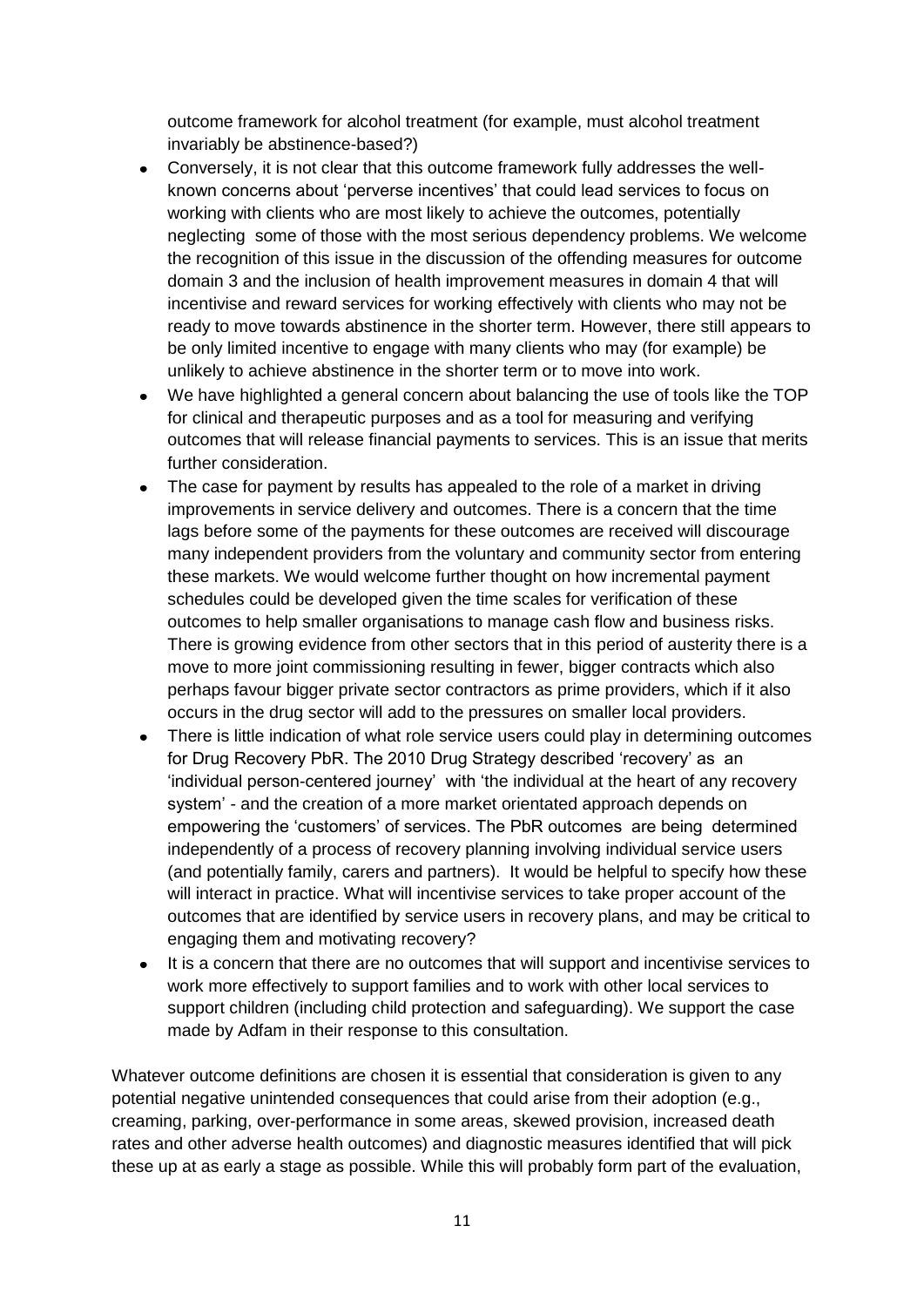outcome framework for alcohol treatment (for example, must alcohol treatment invariably be abstinence-based?)

- Conversely, it is not clear that this outcome framework fully addresses the well- $\bullet$ known concerns about "perverse incentives" that could lead services to focus on working with clients who are most likely to achieve the outcomes, potentially neglecting some of those with the most serious dependency problems. We welcome the recognition of this issue in the discussion of the offending measures for outcome domain 3 and the inclusion of health improvement measures in domain 4 that will incentivise and reward services for working effectively with clients who may not be ready to move towards abstinence in the shorter term. However, there still appears to be only limited incentive to engage with many clients who may (for example) be unlikely to achieve abstinence in the shorter term or to move into work.
- We have highlighted a general concern about balancing the use of tools like the TOP for clinical and therapeutic purposes and as a tool for measuring and verifying outcomes that will release financial payments to services. This is an issue that merits further consideration.
- The case for payment by results has appealed to the role of a market in driving improvements in service delivery and outcomes. There is a concern that the time lags before some of the payments for these outcomes are received will discourage many independent providers from the voluntary and community sector from entering these markets. We would welcome further thought on how incremental payment schedules could be developed given the time scales for verification of these outcomes to help smaller organisations to manage cash flow and business risks. There is growing evidence from other sectors that in this period of austerity there is a move to more joint commissioning resulting in fewer, bigger contracts which also perhaps favour bigger private sector contractors as prime providers, which if it also occurs in the drug sector will add to the pressures on smaller local providers.
- There is little indication of what role service users could play in determining outcomes for Drug Recovery PbR. The 2010 Drug Strategy described "recovery" as an "individual person-centered journey" with "the individual at the heart of any recovery system" - and the creation of a more market orientated approach depends on empowering the "customers" of services. The PbR outcomes are being determined independently of a process of recovery planning involving individual service users (and potentially family, carers and partners). It would be helpful to specify how these will interact in practice. What will incentivise services to take proper account of the outcomes that are identified by service users in recovery plans, and may be critical to engaging them and motivating recovery?
- $\bullet$ It is a concern that there are no outcomes that will support and incentivise services to work more effectively to support families and to work with other local services to support children (including child protection and safeguarding). We support the case made by Adfam in their response to this consultation.

Whatever outcome definitions are chosen it is essential that consideration is given to any potential negative unintended consequences that could arise from their adoption (e.g., creaming, parking, over-performance in some areas, skewed provision, increased death rates and other adverse health outcomes) and diagnostic measures identified that will pick these up at as early a stage as possible. While this will probably form part of the evaluation,